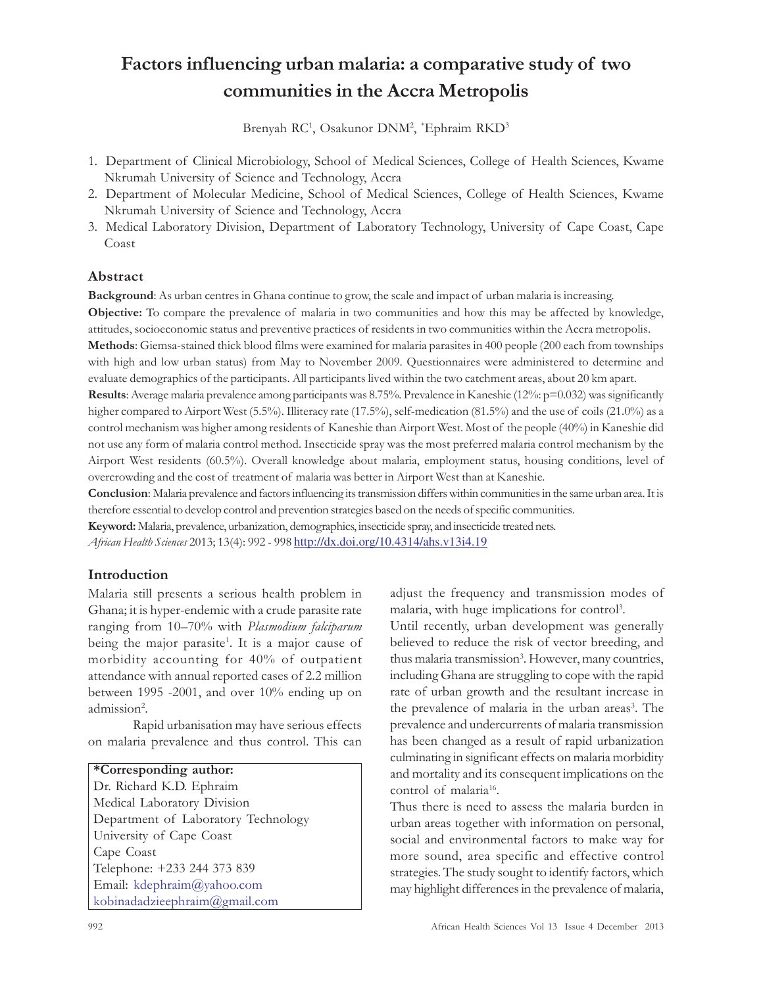# Factors influencing urban malaria: a comparative study of two communities in the Accra Metropolis

Brenyah RC<sup>1</sup>, Osakunor DNM<sup>2</sup>, \*Ephraim RKD<sup>3</sup>

- 1. Department of Clinical Microbiology, School of Medical Sciences, College of Health Sciences, Kwame Nkrumah University of Science and Technology, Accra
- 2. Department of Molecular Medicine, School of Medical Sciences, College of Health Sciences, Kwame Nkrumah University of Science and Technology, Accra
- 3. Medical Laboratory Division, Department of Laboratory Technology, University of Cape Coast, Cape Coast

## Abstract

Background: As urban centres in Ghana continue to grow, the scale and impact of urban malaria is increasing.

Objective: To compare the prevalence of malaria in two communities and how this may be affected by knowledge, attitudes, socioeconomic status and preventive practices of residents in two communities within the Accra metropolis.

Methods: Giemsa-stained thick blood films were examined for malaria parasites in 400 people (200 each from townships with high and low urban status) from May to November 2009. Questionnaires were administered to determine and evaluate demographics of the participants. All participants lived within the two catchment areas, about 20 km apart.

Results: Average malaria prevalence among participants was 8.75%. Prevalence in Kaneshie (12%: p=0.032) was significantly higher compared to Airport West (5.5%). Illiteracy rate (17.5%), self-medication (81.5%) and the use of coils (21.0%) as a control mechanism was higher among residents of Kaneshie than Airport West. Most of the people (40%) in Kaneshie did not use any form of malaria control method. Insecticide spray was the most preferred malaria control mechanism by the Airport West residents (60.5%). Overall knowledge about malaria, employment status, housing conditions, level of overcrowding and the cost of treatment of malaria was better in Airport West than at Kaneshie.

Conclusion: Malaria prevalence and factors influencing its transmission differs within communities in the same urban area. It is therefore essential to develop control and prevention strategies based on the needs of specific communities.

Keyword: Malaria, prevalence, urbanization, demographics, insecticide spray, and insecticide treated nets.

African Health Sciences 2013; 13(4): 992 - 998 http://dx.doi.org/10.4314/ahs.v13i4.19

## Introduction

Malaria still presents a serious health problem in Ghana; it is hyper-endemic with a crude parasite rate ranging from 10–70% with Plasmodium falciparum being the major parasite<sup>1</sup>. It is a major cause of morbidity accounting for 40% of outpatient attendance with annual reported cases of 2.2 million between 1995 -2001, and over 10% ending up on admission<sup>2</sup>.

Rapid urbanisation may have serious effects on malaria prevalence and thus control. This can

## \*Corresponding author: Dr. Richard K.D. Ephraim

Medical Laboratory Division Department of Laboratory Technology University of Cape Coast Cape Coast Telephone: +233 244 373 839 Email: kdephraim@yahoo.com kobinadadzieephraim@gmail.com

adjust the frequency and transmission modes of malaria, with huge implications for control<sup>3</sup>.

Until recently, urban development was generally believed to reduce the risk of vector breeding, and thus malaria transmission<sup>3</sup>. However, many countries, including Ghana are struggling to cope with the rapid rate of urban growth and the resultant increase in the prevalence of malaria in the urban areas<sup>3</sup>. The prevalence and undercurrents of malaria transmission has been changed as a result of rapid urbanization culminating in significant effects on malaria morbidity and mortality and its consequent implications on the control of malaria<sup>16</sup>.

Thus there is need to assess the malaria burden in urban areas together with information on personal, social and environmental factors to make way for more sound, area specific and effective control strategies. The study sought to identify factors, which may highlight differences in the prevalence of malaria,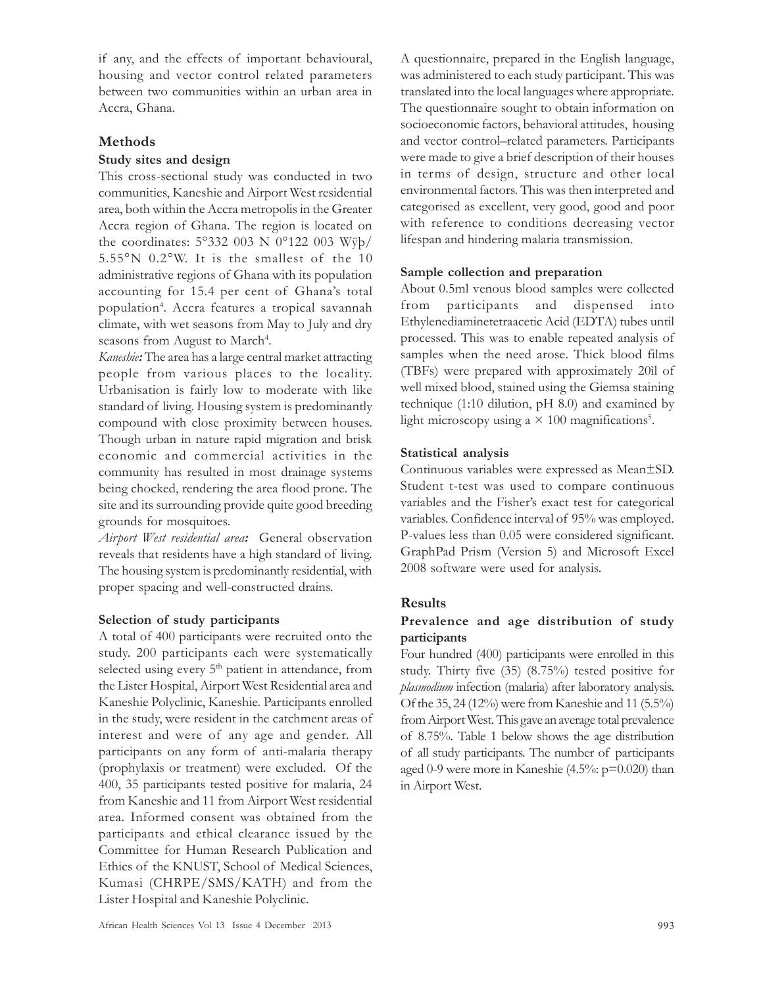if any, and the effects of important behavioural, housing and vector control related parameters between two communities within an urban area in Accra, Ghana.

## Methods

#### Study sites and design

This cross-sectional study was conducted in two communities, Kaneshie and Airport West residential area, both within the Accra metropolis in the Greater Accra region of Ghana. The region is located on the coordinates: 5°332 003 N 0°122 003 Wÿþ/ 5.55°N 0.2°W. It is the smallest of the 10 administrative regions of Ghana with its population accounting for 15.4 per cent of Ghana's total population<sup>4</sup> . Accra features a tropical savannah climate, with wet seasons from May to July and dry seasons from August to March<sup>4</sup>.

Kaneshie: The area has a large central market attracting people from various places to the locality. Urbanisation is fairly low to moderate with like standard of living. Housing system is predominantly compound with close proximity between houses. Though urban in nature rapid migration and brisk economic and commercial activities in the community has resulted in most drainage systems being chocked, rendering the area flood prone. The site and its surrounding provide quite good breeding grounds for mosquitoes.

Airport West residential area: General observation reveals that residents have a high standard of living. The housing system is predominantly residential, with proper spacing and well-constructed drains.

## Selection of study participants

A total of 400 participants were recruited onto the study. 200 participants each were systematically selected using every 5<sup>th</sup> patient in attendance, from the Lister Hospital, Airport West Residential area and Kaneshie Polyclinic, Kaneshie. Participants enrolled in the study, were resident in the catchment areas of interest and were of any age and gender. All participants on any form of anti-malaria therapy (prophylaxis or treatment) were excluded. Of the 400, 35 participants tested positive for malaria, 24 from Kaneshie and 11 from Airport West residential area. Informed consent was obtained from the participants and ethical clearance issued by the Committee for Human Research Publication and Ethics of the KNUST, School of Medical Sciences, Kumasi (CHRPE/SMS/KATH) and from the Lister Hospital and Kaneshie Polyclinic.

A questionnaire, prepared in the English language, was administered to each study participant. This was translated into the local languages where appropriate. The questionnaire sought to obtain information on socioeconomic factors, behavioral attitudes, housing and vector control–related parameters. Participants were made to give a brief description of their houses in terms of design, structure and other local environmental factors. This was then interpreted and categorised as excellent, very good, good and poor with reference to conditions decreasing vector lifespan and hindering malaria transmission.

#### Sample collection and preparation

About 0.5ml venous blood samples were collected from participants and dispensed into Ethylenediaminetetraacetic Acid (EDTA) tubes until processed. This was to enable repeated analysis of samples when the need arose. Thick blood films (TBFs) were prepared with approximately 20ìl of well mixed blood, stained using the Giemsa staining technique (1:10 dilution, pH 8.0) and examined by light microscopy using a  $\times$  100 magnifications<sup>5</sup>.

#### Statistical analysis

Continuous variables were expressed as Mean±SD. Student t-test was used to compare continuous variables and the Fisher's exact test for categorical variables. Confidence interval of 95% was employed. P-values less than 0.05 were considered significant. GraphPad Prism (Version 5) and Microsoft Excel 2008 software were used for analysis.

## Results

## Prevalence and age distribution of study participants

Four hundred (400) participants were enrolled in this study. Thirty five (35) (8.75%) tested positive for plasmodium infection (malaria) after laboratory analysis. Of the 35, 24 (12%) were from Kaneshie and 11 (5.5%) from Airport West. This gave an average total prevalence of 8.75%. Table 1 below shows the age distribution of all study participants. The number of participants aged 0-9 were more in Kaneshie (4.5%: p=0.020) than in Airport West.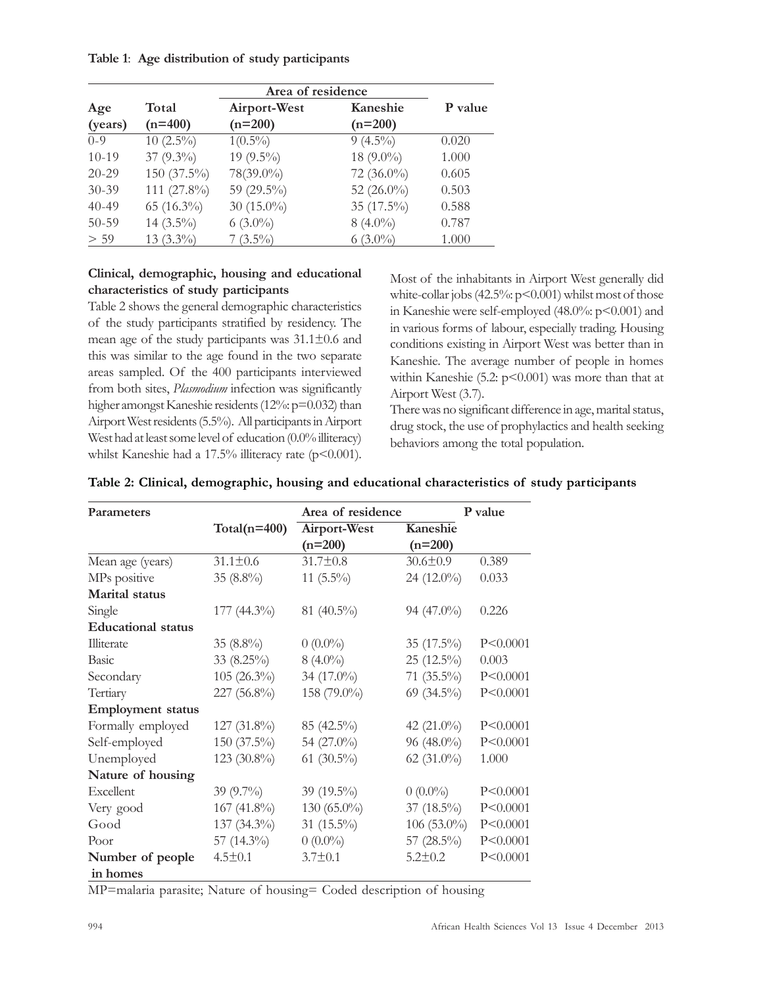Table 1: Age distribution of study participants

| Age       | Total          | Airport-West  | Kaneshie      | P value |
|-----------|----------------|---------------|---------------|---------|
| (years)   | $(n=400)$      | $(n=200)$     | $(n=200)$     |         |
| $0 - 9$   | $10(2.5\%)$    | $1(0.5\%)$    | $9(4.5\%)$    | 0.020   |
| $10-19$   | 37 $(9.3\%)$   | 19 $(9.5\%)$  | 18 $(9.0\%)$  | 1.000   |
| $20 - 29$ | $150(37.5\%)$  | 78(39.0%)     | $72(36.0\%)$  | 0.605   |
| $30 - 39$ | 111 $(27.8\%)$ | 59 (29.5%)    | 52 $(26.0\%)$ | 0.503   |
| $40 - 49$ | $65(16.3\%)$   | 30 $(15.0\%)$ | 35 $(17.5\%)$ | 0.588   |
| $50 - 59$ | $14(3.5\%)$    | $6(3.0\%)$    | $8(4.0\%)$    | 0.787   |
| > 59      | $13(3.3\%)$    | $7(3.5\%)$    | $6(3.0\%)$    | 1.000   |

# Clinical, demographic, housing and educational characteristics of study participants

Table 2 shows the general demographic characteristics of the study participants stratified by residency. The mean age of the study participants was 31.1±0.6 and this was similar to the age found in the two separate areas sampled. Of the 400 participants interviewed from both sites, Plasmodium infection was significantly higher amongst Kaneshie residents (12%: p=0.032) than Airport West residents (5.5%). All participants in Airport West had at least some level of education (0.0% illiteracy) whilst Kaneshie had a 17.5% illiteracy rate (p<0.001). Most of the inhabitants in Airport West generally did white-collar jobs (42.5%:  $p < 0.001$ ) whilst most of those in Kaneshie were self-employed (48.0%: p<0.001) and in various forms of labour, especially trading. Housing conditions existing in Airport West was better than in Kaneshie. The average number of people in homes within Kaneshie (5.2:  $p<0.001$ ) was more than that at Airport West (3.7).

There was no significant difference in age, marital status, drug stock, the use of prophylactics and health seeking behaviors among the total population.

| <b>Parameters</b>         |                  | Area of residence |                | P value    |  |
|---------------------------|------------------|-------------------|----------------|------------|--|
|                           | Total( $n=400$ ) | Airport-West      | Kaneshie       |            |  |
|                           |                  | $(n=200)$         | $(n=200)$      |            |  |
| Mean age (years)          | $31.1 \pm 0.6$   | $31.7 \pm 0.8$    | $30.6 \pm 0.9$ | 0.389      |  |
| MPs positive              | 35 $(8.8\%)$     | 11 $(5.5\%)$      | 24 (12.0%)     | 0.033      |  |
| <b>Marital</b> status     |                  |                   |                |            |  |
| Single                    | $177(44.3\%)$    | 81 (40.5%)        | $94(47.0\%)$   | 0.226      |  |
| <b>Educational</b> status |                  |                   |                |            |  |
| Illiterate                | 35 $(8.8\%)$     | $0(0.0\%)$        | 35 $(17.5\%)$  | P < 0.0001 |  |
| <b>Basic</b>              | 33 $(8.25\%)$    | $8(4.0\%)$        | 25 (12.5%)     | 0.003      |  |
| Secondary                 | $105(26.3\%)$    | 34 (17.0%)        | $71(35.5\%)$   | P<0.0001   |  |
| Tertiary                  | 227 (56.8%)      | 158 (79.0%)       | 69 (34.5%)     | P < 0.0001 |  |
| <b>Employment status</b>  |                  |                   |                |            |  |
| Formally employed         | $127(31.8\%)$    | 85 (42.5%)        | 42 $(21.0\%)$  | P < 0.0001 |  |
| Self-employed             | $150(37.5\%)$    | 54 (27.0%)        | 96 (48.0%)     | P < 0.0001 |  |
| Unemployed                | 123 $(30.8\%)$   | 61 $(30.5\%)$     | 62 $(31.0\%)$  | 1.000      |  |
| Nature of housing         |                  |                   |                |            |  |
| Excellent                 | 39 $(9.7\%)$     | 39 $(19.5\%)$     | $0(0.0\%)$     | P < 0.0001 |  |
| Very good                 | 167 (41.8%)      | $130(65.0\%)$     | 37 $(18.5\%)$  | P < 0.0001 |  |
| Good                      | 137 (34.3%)      | 31 (15.5%)        | $106(53.0\%)$  | P < 0.0001 |  |
| Poor                      | 57 (14.3%)       | $0(0.0\%)$        | 57 $(28.5\%)$  | P<0.0001   |  |
| Number of people          | $4.5 \pm 0.1$    | $3.7 \pm 0.1$     | $5.2 \pm 0.2$  | P < 0.0001 |  |
| in homes                  |                  |                   |                |            |  |

|  |  |  | Table 2: Clinical, demographic, housing and educational characteristics of study participants |  |  |
|--|--|--|-----------------------------------------------------------------------------------------------|--|--|
|  |  |  |                                                                                               |  |  |

MP=malaria parasite; Nature of housing= Coded description of housing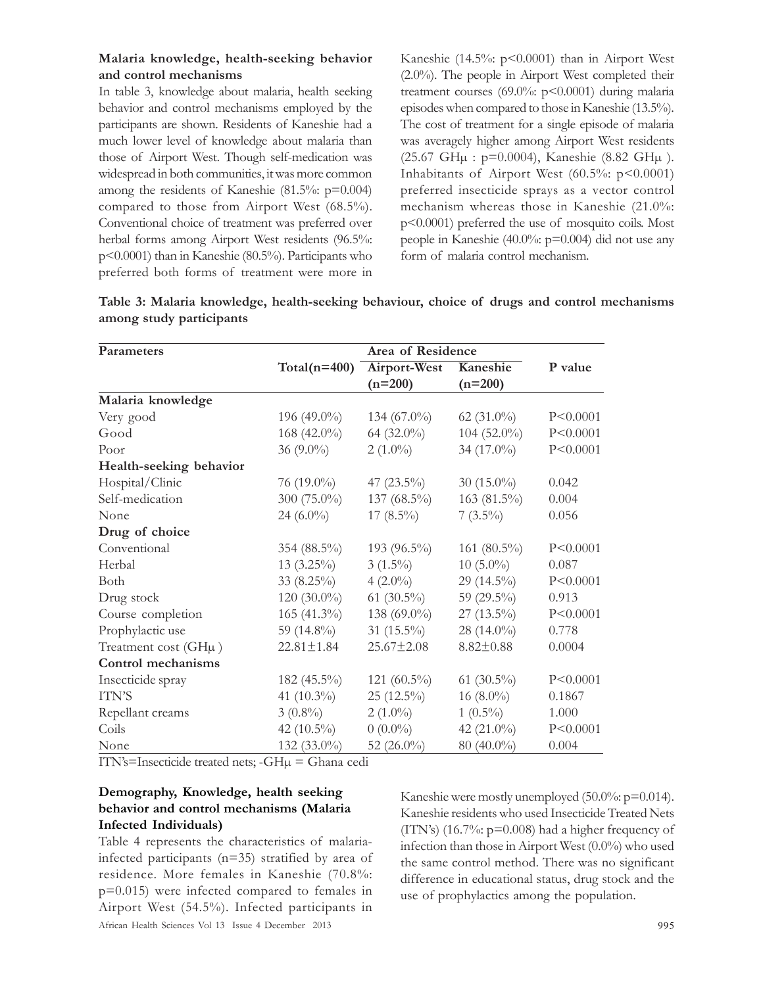## Malaria knowledge, health-seeking behavior and control mechanisms

In table 3, knowledge about malaria, health seeking behavior and control mechanisms employed by the participants are shown. Residents of Kaneshie had a much lower level of knowledge about malaria than those of Airport West. Though self-medication was widespread in both communities, it was more common among the residents of Kaneshie (81.5%: p=0.004) compared to those from Airport West (68.5%). Conventional choice of treatment was preferred over herbal forms among Airport West residents (96.5%: p<0.0001) than in Kaneshie (80.5%). Participants who preferred both forms of treatment were more in Kaneshie (14.5%: p<0.0001) than in Airport West (2.0%). The people in Airport West completed their treatment courses  $(69.0\%; p<0.0001)$  during malaria episodes when compared to those in Kaneshie (13.5%). The cost of treatment for a single episode of malaria was averagely higher among Airport West residents (25.67 GHµ : p=0.0004), Kaneshie (8.82 GHµ ). Inhabitants of Airport West  $(60.5\%; p<0.0001)$ preferred insecticide sprays as a vector control mechanism whereas those in Kaneshie (21.0%: p<0.0001) preferred the use of mosquito coils. Most people in Kaneshie (40.0%: p=0.004) did not use any form of malaria control mechanism.

| Parameters               |                  | Area of Residence |                 |            |
|--------------------------|------------------|-------------------|-----------------|------------|
|                          | Total( $n=400$ ) | Airport-West      | Kaneshie        | P value    |
|                          |                  | $(n=200)$         | $(n=200)$       |            |
| Malaria knowledge        |                  |                   |                 |            |
| Very good                | 196 (49.0%)      | 134 $(67.0\%)$    | 62 $(31.0\%)$   | P < 0.0001 |
| Good                     | 168 (42.0%)      | 64 (32.0%)        | $104(52.0\%)$   | P < 0.0001 |
| Poor                     | 36 $(9.0\%)$     | $2(1.0\%)$        | 34 (17.0%)      | P < 0.0001 |
| Health-seeking behavior  |                  |                   |                 |            |
| Hospital/Clinic          | $76(19.0\%)$     | 47 $(23.5\%)$     | 30 $(15.0\%)$   | 0.042      |
| Self-medication          | 300 (75.0%)      | 137 (68.5%)       | 163 (81.5%)     | 0.004      |
| None                     | 24 $(6.0\%)$     | $17(8.5\%)$       | $7(3.5\%)$      | 0.056      |
| Drug of choice           |                  |                   |                 |            |
| Conventional             | 354 (88.5%)      | 193 (96.5%)       | 161 (80.5%)     | P < 0.0001 |
| Herbal                   | $13(3.25\%)$     | $3(1.5\%)$        | $10(5.0\%)$     | 0.087      |
| Both                     | $33(8.25\%)$     | $4(2.0\%)$        | 29 (14.5%)      | P < 0.0001 |
| Drug stock               | $120(30.0\%)$    | 61 $(30.5\%)$     | 59 (29.5%)      | 0.913      |
| Course completion        | $165(41.3\%)$    | 138 (69.0%)       | $27(13.5\%)$    | P < 0.0001 |
| Prophylactic use         | 59 $(14.8\%)$    | 31 $(15.5\%)$     | 28 (14.0%)      | 0.778      |
| Treatment cost $(GH\mu)$ | $22.81 \pm 1.84$ | $25.67 \pm 2.08$  | $8.82 \pm 0.88$ | 0.0004     |
| Control mechanisms       |                  |                   |                 |            |
| Insecticide spray        | $182(45.5\%)$    | 121 $(60.5\%)$    | 61 $(30.5\%)$   | P < 0.0001 |
| ITN'S                    | 41 $(10.3\%)$    | $25(12.5\%)$      | 16 $(8.0\%)$    | 0.1867     |
| Repellant creams         | $3(0.8\%)$       | $2(1.0\%)$        | $1(0.5\%)$      | 1.000      |
| Coils                    | 42 $(10.5\%)$    | $0(0.0\%)$        | 42 $(21.0\%)$   | P < 0.0001 |
| None                     | 132 (33.0%)      | 52 $(26.0\%)$     | 80 (40.0%)      | 0.004      |

| Table 3: Malaria knowledge, health-seeking behaviour, choice of drugs and control mechanisms |  |  |  |
|----------------------------------------------------------------------------------------------|--|--|--|
| among study participants                                                                     |  |  |  |

ITN's=Insecticide treated nets; -GHµ = Ghana cedi

## Demography, Knowledge, health seeking behavior and control mechanisms (Malaria Infected Individuals)

African Health Sciences Vol 13 Issue 4 December 2013 995 Table 4 represents the characteristics of malariainfected participants (n=35) stratified by area of residence. More females in Kaneshie (70.8%: p=0.015) were infected compared to females in Airport West (54.5%). Infected participants in

Kaneshie were mostly unemployed (50.0%: p=0.014). Kaneshie residents who used Insecticide Treated Nets  $(TTN's)$  (16.7%:  $p=0.008$ ) had a higher frequency of infection than those in Airport West (0.0%) who used the same control method. There was no significant difference in educational status, drug stock and the use of prophylactics among the population.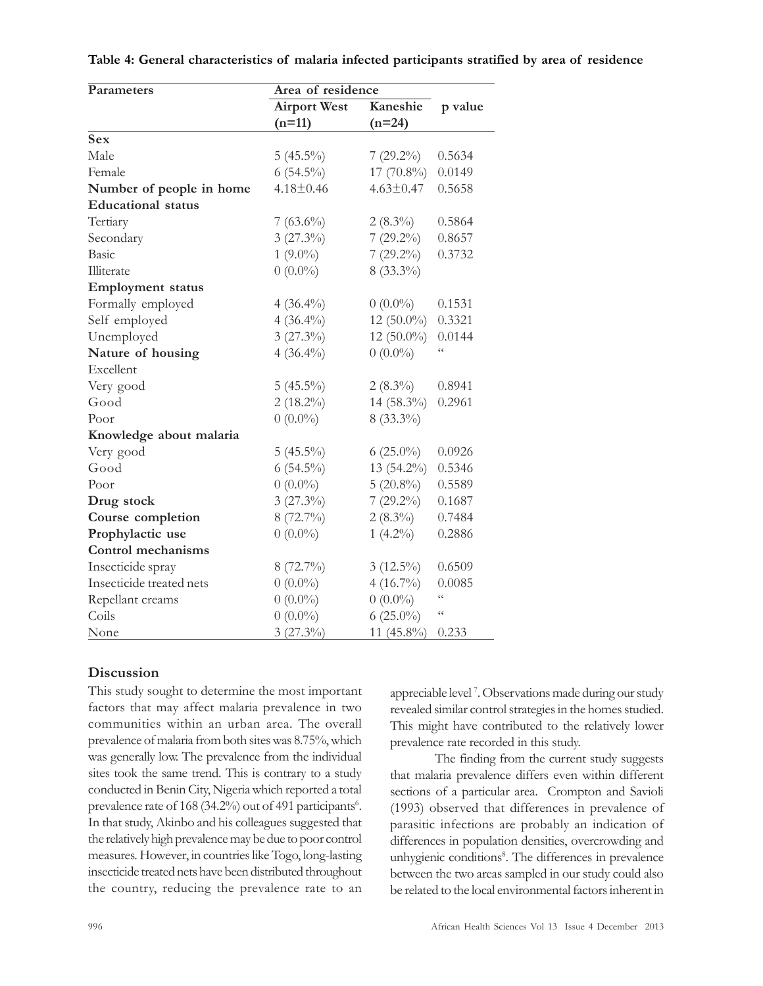| Parameters                | Area of residence   |                 |                 |
|---------------------------|---------------------|-----------------|-----------------|
|                           | <b>Airport West</b> | Kaneshie        | p value         |
|                           | $(n=11)$            | $(n=24)$        |                 |
| <b>Sex</b>                |                     |                 |                 |
| Male                      | $5(45.5\%)$         | $7(29.2\%)$     | 0.5634          |
| Female                    | $6(54.5\%)$         | 17 (70.8%)      | 0.0149          |
| Number of people in home  | $4.18 \pm 0.46$     | $4.63 \pm 0.47$ | 0.5658          |
| <b>Educational</b> status |                     |                 |                 |
| Tertiary                  | $7(63.6\%)$         | $2(8.3\%)$      | 0.5864          |
| Secondary                 | $3(27.3\%)$         | $7(29.2\%)$     | 0.8657          |
| Basic                     | $1(9.0\%)$          | $7(29.2\%)$     | 0.3732          |
| Illiterate                | $0(0.0\%)$          | $8(33.3\%)$     |                 |
| <b>Employment</b> status  |                     |                 |                 |
| Formally employed         | $4(36.4\%)$         | $0(0.0\%)$      | 0.1531          |
| Self employed             | $4(36.4\%)$         | 12 (50.0%)      | 0.3321          |
| Unemployed                | $3(27.3\%)$         | $12(50.0\%)$    | 0.0144          |
| Nature of housing         | $4(36.4\%)$         | $0(0.0\%)$      | $\zeta$ $\zeta$ |
| Excellent                 |                     |                 |                 |
| Very good                 | $5(45.5\%)$         | $2(8.3\%)$      | 0.8941          |
| Good                      | $2(18.2\%)$         | 14 (58.3%)      | 0.2961          |
| Poor                      | $0(0.0\%)$          | 8 (33.3%)       |                 |
| Knowledge about malaria   |                     |                 |                 |
| Very good                 | $5(45.5\%)$         | 6 $(25.0\%)$    | 0.0926          |
| Good                      | $6(54.5\%)$         | 13 (54.2%)      | 0.5346          |
| Poor                      | $0(0.0\%)$          | $5(20.8\%)$     | 0.5589          |
| Drug stock                | $3(27.3\%)$         | $7(29.2\%)$     | 0.1687          |
| Course completion         | 8 (72.7%)           | $2(8.3\%)$      | 0.7484          |
| Prophylactic use          | $0(0.0\%)$          | $1(4.2\%)$      | 0.2886          |
| <b>Control mechanisms</b> |                     |                 |                 |
| Insecticide spray         | $8(72.7\%)$         | $3(12.5\%)$     | 0.6509          |
| Insecticide treated nets  | $0(0.0\%)$          | $4(16.7\%)$     | 0.0085          |
| Repellant creams          | $0(0.0\%)$          | $0(0.0\%)$      | $\zeta$ $\zeta$ |
| Coils                     | $0(0.0\%)$          | $6(25.0\%)$     | $\zeta \zeta$   |
| None                      | $3(27.3\%)$         | 11 $(45.8\%)$   | 0.233           |

Table 4: General characteristics of malaria infected participants stratified by area of residence

## **Discussion**

This study sought to determine the most important factors that may affect malaria prevalence in two communities within an urban area. The overall prevalence of malaria from both sites was 8.75%, which was generally low. The prevalence from the individual sites took the same trend. This is contrary to a study conducted in Benin City, Nigeria which reported a total prevalence rate of 168 (34.2%) out of 491 participants<sup>6</sup>. In that study, Akinbo and his colleagues suggested that the relatively high prevalence may be due to poor control measures. However, in countries like Togo, long-lasting insecticide treated nets have been distributed throughout the country, reducing the prevalence rate to an

appreciable level <sup>7</sup> . Observations made during our study revealed similar control strategies in the homes studied. This might have contributed to the relatively lower prevalence rate recorded in this study.

The finding from the current study suggests that malaria prevalence differs even within different sections of a particular area. Crompton and Savioli (1993) observed that differences in prevalence of parasitic infections are probably an indication of differences in population densities, overcrowding and unhygienic conditions<sup>8</sup>. The differences in prevalence between the two areas sampled in our study could also be related to the local environmental factors inherent in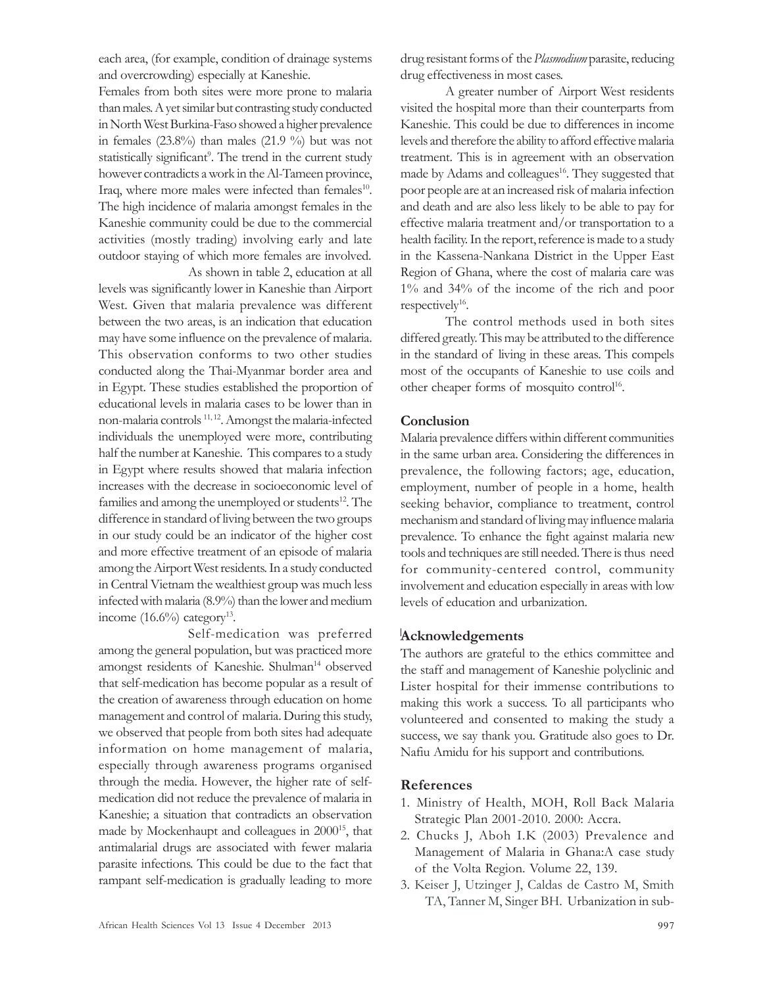each area, (for example, condition of drainage systems and overcrowding) especially at Kaneshie.

Females from both sites were more prone to malaria than males. A yet similar but contrasting study conducted in North West Burkina-Faso showed a higher prevalence in females  $(23.8\%)$  than males  $(21.9\%)$  but was not statistically significant<sup>9</sup>. The trend in the current study however contradicts a work in the Al-Tameen province, Iraq, where more males were infected than females<sup>10</sup>. The high incidence of malaria amongst females in the Kaneshie community could be due to the commercial activities (mostly trading) involving early and late outdoor staying of which more females are involved. As shown in table 2, education at all

levels was significantly lower in Kaneshie than Airport West. Given that malaria prevalence was different between the two areas, is an indication that education may have some influence on the prevalence of malaria. This observation conforms to two other studies conducted along the Thai-Myanmar border area and in Egypt. These studies established the proportion of educational levels in malaria cases to be lower than in non-malaria controls<sup>11,12</sup>. Amongst the malaria-infected individuals the unemployed were more, contributing half the number at Kaneshie. This compares to a study in Egypt where results showed that malaria infection increases with the decrease in socioeconomic level of families and among the unemployed or students<sup>12</sup>. The difference in standard of living between the two groups in our study could be an indicator of the higher cost and more effective treatment of an episode of malaria among the Airport West residents. In a study conducted in Central Vietnam the wealthiest group was much less infected with malaria (8.9%) than the lower and medium income  $(16.6\%)$  category<sup>13</sup>.

Self-medication was preferred among the general population, but was practiced more amongst residents of Kaneshie. Shulman<sup>14</sup> observed that self-medication has become popular as a result of the creation of awareness through education on home management and control of malaria. During this study, we observed that people from both sites had adequate information on home management of malaria, especially through awareness programs organised through the media. However, the higher rate of selfmedication did not reduce the prevalence of malaria in Kaneshie; a situation that contradicts an observation made by Mockenhaupt and colleagues in 2000<sup>15</sup>, that antimalarial drugs are associated with fewer malaria parasite infections. This could be due to the fact that rampant self-medication is gradually leading to more

drug resistant forms of the *Plasmodium* parasite, reducing drug effectiveness in most cases.

A greater number of Airport West residents visited the hospital more than their counterparts from Kaneshie. This could be due to differences in income levels and therefore the ability to afford effective malaria treatment. This is in agreement with an observation made by Adams and colleagues<sup>16</sup>. They suggested that poor people are at an increased risk of malaria infection and death and are also less likely to be able to pay for effective malaria treatment and/or transportation to a health facility. In the report, reference is made to a study in the Kassena-Nankana District in the Upper East Region of Ghana, where the cost of malaria care was 1% and 34% of the income of the rich and poor respectively<sup>16</sup>.

The control methods used in both sites differed greatly. This may be attributed to the difference in the standard of living in these areas. This compels most of the occupants of Kaneshie to use coils and other cheaper forms of mosquito control<sup>16</sup>.

## **Conclusion**

Malaria prevalence differs within different communities in the same urban area. Considering the differences in prevalence, the following factors; age, education, employment, number of people in a home, health seeking behavior, compliance to treatment, control mechanism and standard of living may influence malaria prevalence. To enhance the fight against malaria new tools and techniques are still needed. There is thus need for community-centered control, community involvement and education especially in areas with low levels of education and urbanization.

## Acknowledgements

The authors are grateful to the ethics committee and the staff and management of Kaneshie polyclinic and Lister hospital for their immense contributions to making this work a success. To all participants who volunteered and consented to making the study a success, we say thank you. Gratitude also goes to Dr. Nafiu Amidu for his support and contributions.

## References

- 1. Ministry of Health, MOH, Roll Back Malaria Strategic Plan 2001-2010. 2000: Accra.
- 2. Chucks J, Aboh I.K (2003) Prevalence and Management of Malaria in Ghana:A case study of the Volta Region. Volume 22, 139.
- 3. Keiser J, Utzinger J, Caldas de Castro M, Smith TA, Tanner M, Singer BH. Urbanization in sub-